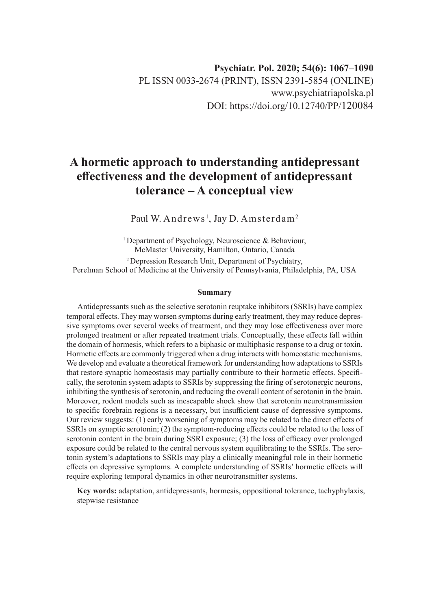# **A hormetic approach to understanding antidepressant effectiveness and the development of antidepressant tolerance – A conceptual view**

Paul W. Andrews<sup>1</sup>, Jay D. Amsterdam<sup>2</sup>

<sup>1</sup> Department of Psychology, Neuroscience & Behaviour, McMaster University, Hamilton, Ontario, Canada 2 Depression Research Unit, Department of Psychiatry, Perelman School of Medicine at the University of Pennsylvania, Philadelphia, PA, USA

#### **Summary**

Antidepressants such as the selective serotonin reuptake inhibitors (SSRIs) have complex temporal effects. They may worsen symptoms during early treatment, they may reduce depressive symptoms over several weeks of treatment, and they may lose effectiveness over more prolonged treatment or after repeated treatment trials. Conceptually, these effects fall within the domain of hormesis, which refers to a biphasic or multiphasic response to a drug or toxin. Hormetic effects are commonly triggered when a drug interacts with homeostatic mechanisms. We develop and evaluate a theoretical framework for understanding how adaptations to SSRIs that restore synaptic homeostasis may partially contribute to their hormetic effects. Specifically, the serotonin system adapts to SSRIs by suppressing the firing of serotonergic neurons, inhibiting the synthesis of serotonin, and reducing the overall content of serotonin in the brain. Moreover, rodent models such as inescapable shock show that serotonin neurotransmission to specific forebrain regions is a necessary, but insufficient cause of depressive symptoms. Our review suggests: (1) early worsening of symptoms may be related to the direct effects of SSRIs on synaptic serotonin; (2) the symptom-reducing effects could be related to the loss of serotonin content in the brain during SSRI exposure; (3) the loss of efficacy over prolonged exposure could be related to the central nervous system equilibrating to the SSRIs. The serotonin system's adaptations to SSRIs may play a clinically meaningful role in their hormetic effects on depressive symptoms. A complete understanding of SSRIs' hormetic effects will require exploring temporal dynamics in other neurotransmitter systems.

**Key words:** adaptation, antidepressants, hormesis, oppositional tolerance, tachyphylaxis, stepwise resistance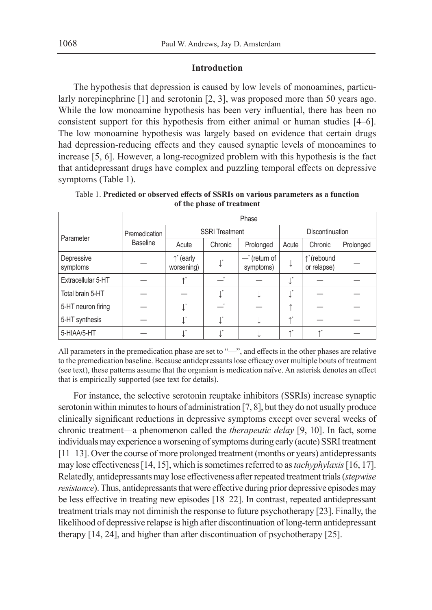## **Introduction**

The hypothesis that depression is caused by low levels of monoamines, particularly norepinephrine [1] and serotonin [2, 3], was proposed more than 50 years ago. While the low monoamine hypothesis has been very influential, there has been no consistent support for this hypothesis from either animal or human studies [4–6]. The low monoamine hypothesis was largely based on evidence that certain drugs had depression-reducing effects and they caused synaptic levels of monoamines to increase [5, 6]. However, a long-recognized problem with this hypothesis is the fact that antidepressant drugs have complex and puzzling temporal effects on depressive symptoms (Table 1).

|                        | Phase                            |                                 |                |                             |                 |                           |           |  |  |  |
|------------------------|----------------------------------|---------------------------------|----------------|-----------------------------|-----------------|---------------------------|-----------|--|--|--|
| Parameter              | Premedication<br><b>Baseline</b> | <b>SSRI Treatment</b>           |                |                             | Discontinuation |                           |           |  |  |  |
|                        |                                  | Acute                           | Chronic        | Prolonged                   | Acute           | Chronic                   | Prolonged |  |  |  |
| Depressive<br>symptoms |                                  | $\uparrow$ (early<br>worsening) | $\mathbb{R}^*$ | $-$ (return of<br>symptoms) | ↓               | ↑ (rebound<br>or relapse) |           |  |  |  |
| Extracellular 5-HT     |                                  |                                 |                |                             | ↵               |                           |           |  |  |  |
| Total brain 5-HT       |                                  |                                 | $\mathbf{r}^*$ |                             | ↵               |                           |           |  |  |  |
| 5-HT neuron firing     |                                  |                                 |                |                             |                 |                           |           |  |  |  |
| 5-HT synthesis         |                                  |                                 | T,             |                             | $\uparrow^*$    |                           |           |  |  |  |
| 5-HIAA/5-HT            |                                  |                                 |                |                             | $\star^*$       |                           |           |  |  |  |

Table 1. **Predicted or observed effects of SSRIs on various parameters as a function of the phase of treatment**

All parameters in the premedication phase are set to "—", and effects in the other phases are relative to the premedication baseline. Because antidepressants lose efficacy over multiple bouts of treatment (see text), these patterns assume that the organism is medication naïve. An asterisk denotes an effect that is empirically supported (see text for details).

For instance, the selective serotonin reuptake inhibitors (SSRIs) increase synaptic serotonin within minutes to hours of administration [7, 8], but they do not usually produce clinically significant reductions in depressive symptoms except over several weeks of chronic treatment—a phenomenon called the *therapeutic delay* [9, 10]. In fact, some individuals may experience a worsening of symptoms during early (acute) SSRI treatment [11–13]. Over the course of more prolonged treatment (months or years) antidepressants may lose effectiveness [14, 15], which is sometimes referred to as *tachyphylaxis* [16, 17]. Relatedly, antidepressants may lose effectiveness after repeated treatment trials (*stepwise resistance*). Thus, antidepressants that were effective during prior depressive episodes may be less effective in treating new episodes [18–22]. In contrast, repeated antidepressant treatment trials may not diminish the response to future psychotherapy [23]. Finally, the likelihood of depressive relapse is high after discontinuation of long-term antidepressant therapy [14, 24], and higher than after discontinuation of psychotherapy [25].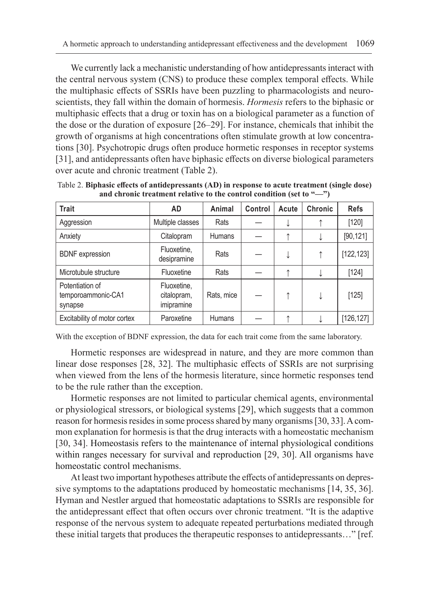We currently lack a mechanistic understanding of how antidepressants interact with the central nervous system (CNS) to produce these complex temporal effects. While the multiphasic effects of SSRIs have been puzzling to pharmacologists and neuroscientists, they fall within the domain of hormesis. *Hormesis* refers to the biphasic or multiphasic effects that a drug or toxin has on a biological parameter as a function of the dose or the duration of exposure [26–29]. For instance, chemicals that inhibit the growth of organisms at high concentrations often stimulate growth at low concentrations [30]. Psychotropic drugs often produce hormetic responses in receptor systems [31], and antidepressants often have biphasic effects on diverse biological parameters over acute and chronic treatment (Table 2).

| <b>Trait</b>                                     | AD                                       | Animal        | Control | Acute | Chronic | <b>Refs</b> |
|--------------------------------------------------|------------------------------------------|---------------|---------|-------|---------|-------------|
| Aggression                                       | Multiple classes                         | Rats          |         |       |         | [120]       |
| Anxiety                                          | Citalopram                               | <b>Humans</b> |         |       |         | [90, 121]   |
| <b>BDNF</b> expression                           | Fluoxetine,<br>desipramine               | Rats          |         | ↓     | ↑       | [122, 123]  |
| Microtubule structure                            | Fluoxetine                               | Rats          |         |       |         | $[124]$     |
| Potentiation of<br>temporoammonic-CA1<br>synapse | Fluoxetine,<br>citalopram,<br>imipramine | Rats, mice    |         |       | ↓       | [125]       |
| Excitability of motor cortex                     | Paroxetine                               | Humans        |         |       |         | [126, 127]  |

Table 2. **Biphasic effects of antidepressants (AD) in response to acute treatment (single dose) and chronic treatment relative to the control condition (set to "—")**

With the exception of BDNF expression, the data for each trait come from the same laboratory.

Hormetic responses are widespread in nature, and they are more common than linear dose responses [28, 32]. The multiphasic effects of SSRIs are not surprising when viewed from the lens of the hormesis literature, since hormetic responses tend to be the rule rather than the exception.

Hormetic responses are not limited to particular chemical agents, environmental or physiological stressors, or biological systems [29], which suggests that a common reason for hormesis resides in some process shared by many organisms [30, 33]. A common explanation for hormesis is that the drug interacts with a homeostatic mechanism [30, 34]. Homeostasis refers to the maintenance of internal physiological conditions within ranges necessary for survival and reproduction [29, 30]. All organisms have homeostatic control mechanisms.

At least two important hypotheses attribute the effects of antidepressants on depressive symptoms to the adaptations produced by homeostatic mechanisms [14, 35, 36]. Hyman and Nestler argued that homeostatic adaptations to SSRIs are responsible for the antidepressant effect that often occurs over chronic treatment. "It is the adaptive response of the nervous system to adequate repeated perturbations mediated through these initial targets that produces the therapeutic responses to antidepressants…" [ref.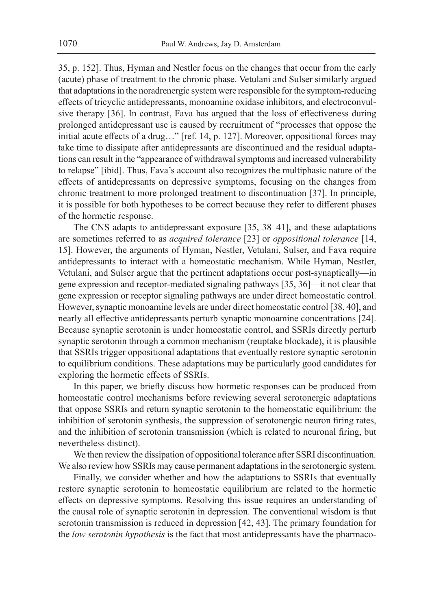35, p. 152]. Thus, Hyman and Nestler focus on the changes that occur from the early (acute) phase of treatment to the chronic phase. Vetulani and Sulser similarly argued that adaptations in the noradrenergic system were responsible for the symptom-reducing effects of tricyclic antidepressants, monoamine oxidase inhibitors, and electroconvulsive therapy [36]. In contrast, Fava has argued that the loss of effectiveness during prolonged antidepressant use is caused by recruitment of "processes that oppose the initial acute effects of a drug…" [ref. 14, p. 127]. Moreover, oppositional forces may take time to dissipate after antidepressants are discontinued and the residual adaptations can result in the "appearance of withdrawal symptoms and increased vulnerability to relapse" [ibid]. Thus, Fava's account also recognizes the multiphasic nature of the effects of antidepressants on depressive symptoms, focusing on the changes from chronic treatment to more prolonged treatment to discontinuation [37]. In principle, it is possible for both hypotheses to be correct because they refer to different phases of the hormetic response.

The CNS adapts to antidepressant exposure [35, 38–41], and these adaptations are sometimes referred to as *acquired tolerance* [23] or *oppositional tolerance* [14, 15]. However, the arguments of Hyman, Nestler, Vetulani, Sulser, and Fava require antidepressants to interact with a homeostatic mechanism. While Hyman, Nestler, Vetulani, and Sulser argue that the pertinent adaptations occur post-synaptically—in gene expression and receptor-mediated signaling pathways [35, 36]—it not clear that gene expression or receptor signaling pathways are under direct homeostatic control. However, synaptic monoamine levels are under direct homeostatic control [38, 40], and nearly all effective antidepressants perturb synaptic monoamine concentrations [24]. Because synaptic serotonin is under homeostatic control, and SSRIs directly perturb synaptic serotonin through a common mechanism (reuptake blockade), it is plausible that SSRIs trigger oppositional adaptations that eventually restore synaptic serotonin to equilibrium conditions. These adaptations may be particularly good candidates for exploring the hormetic effects of SSRIs.

In this paper, we briefly discuss how hormetic responses can be produced from homeostatic control mechanisms before reviewing several serotonergic adaptations that oppose SSRIs and return synaptic serotonin to the homeostatic equilibrium: the inhibition of serotonin synthesis, the suppression of serotonergic neuron firing rates, and the inhibition of serotonin transmission (which is related to neuronal firing, but nevertheless distinct).

We then review the dissipation of oppositional tolerance after SSRI discontinuation. We also review how SSRIs may cause permanent adaptations in the serotonergic system.

Finally, we consider whether and how the adaptations to SSRIs that eventually restore synaptic serotonin to homeostatic equilibrium are related to the hormetic effects on depressive symptoms. Resolving this issue requires an understanding of the causal role of synaptic serotonin in depression. The conventional wisdom is that serotonin transmission is reduced in depression [42, 43]. The primary foundation for the *low serotonin hypothesis* is the fact that most antidepressants have the pharmaco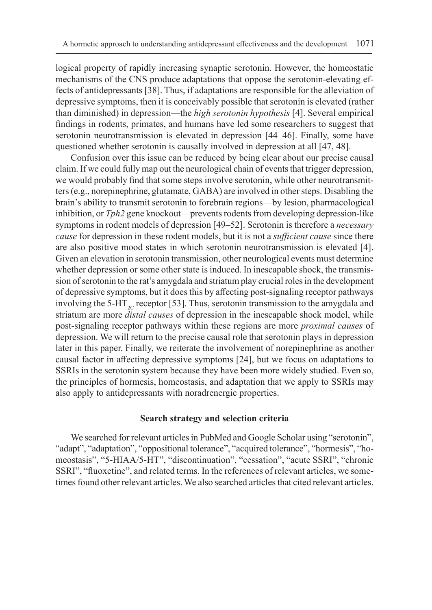logical property of rapidly increasing synaptic serotonin. However, the homeostatic mechanisms of the CNS produce adaptations that oppose the serotonin-elevating effects of antidepressants [38]. Thus, if adaptations are responsible for the alleviation of depressive symptoms, then it is conceivably possible that serotonin is elevated (rather than diminished) in depression—the *high serotonin hypothesis* [4]. Several empirical findings in rodents, primates, and humans have led some researchers to suggest that serotonin neurotransmission is elevated in depression [44–46]. Finally, some have questioned whether serotonin is causally involved in depression at all [47, 48].

Confusion over this issue can be reduced by being clear about our precise causal claim. If we could fully map out the neurological chain of events that trigger depression, we would probably find that some steps involve serotonin, while other neurotransmitters (e.g., norepinephrine, glutamate, GABA) are involved in other steps. Disabling the brain's ability to transmit serotonin to forebrain regions—by lesion, pharmacological inhibition, or *Tph2* gene knockout—prevents rodents from developing depression-like symptoms in rodent models of depression [49–52]. Serotonin is therefore a *necessary cause* for depression in these rodent models, but it is not a *sufficient cause* since there are also positive mood states in which serotonin neurotransmission is elevated [4]. Given an elevation in serotonin transmission, other neurological events must determine whether depression or some other state is induced. In inescapable shock, the transmission of serotonin to the rat's amygdala and striatum play crucial roles in the development of depressive symptoms, but it does this by affecting post-signaling receptor pathways involving the 5-HT<sub>2C</sub> receptor [53]. Thus, serotonin transmission to the amygdala and striatum are more *distal causes* of depression in the inescapable shock model, while post-signaling receptor pathways within these regions are more *proximal causes* of depression. We will return to the precise causal role that serotonin plays in depression later in this paper. Finally, we reiterate the involvement of norepinephrine as another causal factor in affecting depressive symptoms [24], but we focus on adaptations to SSRIs in the serotonin system because they have been more widely studied. Even so, the principles of hormesis, homeostasis, and adaptation that we apply to SSRIs may also apply to antidepressants with noradrenergic properties.

### **Search strategy and selection criteria**

We searched for relevant articles in PubMed and Google Scholar using "serotonin", "adapt", "adaptation", "oppositional tolerance", "acquired tolerance", "hormesis", "homeostasis", "5-HIAA/5-HT", "discontinuation", "cessation", "acute SSRI", "chronic SSRI", "fluoxetine", and related terms. In the references of relevant articles, we sometimes found other relevant articles. We also searched articles that cited relevant articles.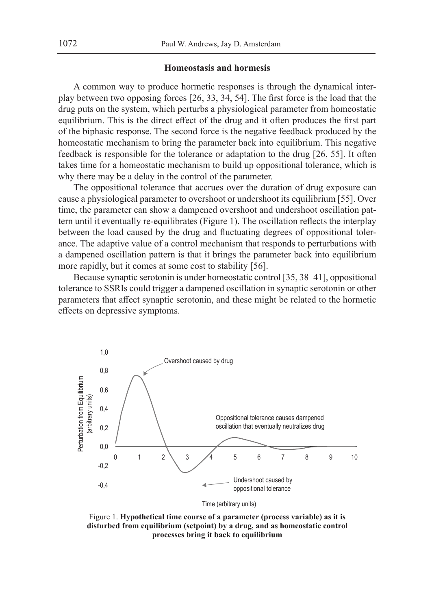#### **Homeostasis and hormesis**

A common way to produce hormetic responses is through the dynamical interplay between two opposing forces [26, 33, 34, 54]. The first force is the load that the drug puts on the system, which perturbs a physiological parameter from homeostatic equilibrium. This is the direct effect of the drug and it often produces the first part of the biphasic response. The second force is the negative feedback produced by the homeostatic mechanism to bring the parameter back into equilibrium. This negative feedback is responsible for the tolerance or adaptation to the drug [26, 55]. It often takes time for a homeostatic mechanism to build up oppositional tolerance, which is why there may be a delay in the control of the parameter.

The oppositional tolerance that accrues over the duration of drug exposure can cause a physiological parameter to overshoot or undershoot its equilibrium [55]. Over time, the parameter can show a dampened overshoot and undershoot oscillation pattern until it eventually re-equilibrates (Figure 1). The oscillation reflects the interplay between the load caused by the drug and fluctuating degrees of oppositional tolerance. The adaptive value of a control mechanism that responds to perturbations with a dampened oscillation pattern is that it brings the parameter back into equilibrium more rapidly, but it comes at some cost to stability [56].

Because synaptic serotonin is under homeostatic control [35, 38–41], oppositional tolerance to SSRIs could trigger a dampened oscillation in synaptic serotonin or other parameters that affect synaptic serotonin, and these might be related to the hormetic effects on depressive symptoms.



Figure 1. **Hypothetical time course of a parameter (process variable) as it is disturbed from equilibrium (setpoint) by a drug, and as homeostatic control processes bring it back to equilibrium**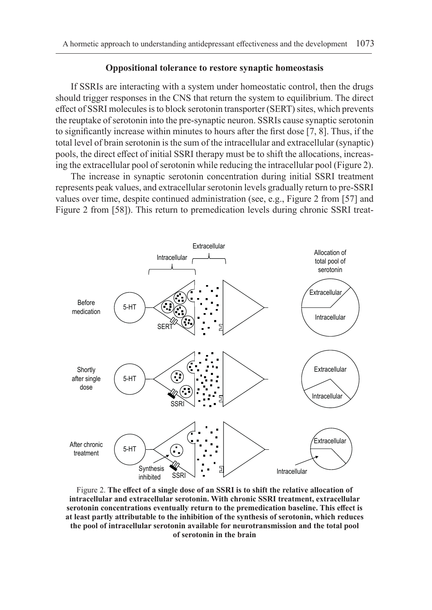#### **Oppositional tolerance to restore synaptic homeostasis**

If SSRIs are interacting with a system under homeostatic control, then the drugs should trigger responses in the CNS that return the system to equilibrium. The direct effect of SSRI molecules is to block serotonin transporter (SERT) sites, which prevents the reuptake of serotonin into the pre-synaptic neuron. SSRIs cause synaptic serotonin to significantly increase within minutes to hours after the first dose [7, 8]. Thus, if the total level of brain serotonin is the sum of the intracellular and extracellular (synaptic) pools, the direct effect of initial SSRI therapy must be to shift the allocations, increasing the extracellular pool of serotonin while reducing the intracellular pool (Figure 2).

The increase in synaptic serotonin concentration during initial SSRI treatment represents peak values, and extracellular serotonin levels gradually return to pre-SSRI values over time, despite continued administration (see, e.g., Figure 2 from [57] and Figure 2 from [58]). This return to premedication levels during chronic SSRI treat-



Figure 2. **The effect of a single dose of an SSRI is to shift the relative allocation of intracellular and extracellular serotonin. With chronic SSRI treatment, extracellular serotonin concentrations eventually return to the premedication baseline. This effect is at least partly attributable to the inhibition of the synthesis of serotonin, which reduces the pool of intracellular serotonin available for neurotransmission and the total pool of serotonin in the brain**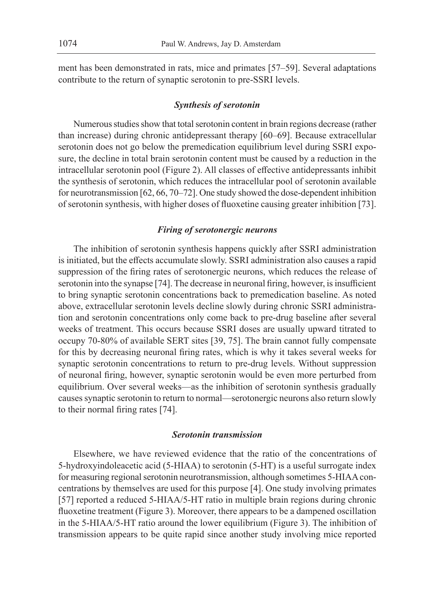ment has been demonstrated in rats, mice and primates [57–59]. Several adaptations contribute to the return of synaptic serotonin to pre-SSRI levels.

#### *Synthesis of serotonin*

Numerous studies show that total serotonin content in brain regions decrease (rather than increase) during chronic antidepressant therapy [60–69]. Because extracellular serotonin does not go below the premedication equilibrium level during SSRI exposure, the decline in total brain serotonin content must be caused by a reduction in the intracellular serotonin pool (Figure 2). All classes of effective antidepressants inhibit the synthesis of serotonin, which reduces the intracellular pool of serotonin available for neurotransmission [62, 66, 70–72]. One study showed the dose-dependent inhibition of serotonin synthesis, with higher doses of fluoxetine causing greater inhibition [73].

## *Firing of serotonergic neurons*

The inhibition of serotonin synthesis happens quickly after SSRI administration is initiated, but the effects accumulate slowly. SSRI administration also causes a rapid suppression of the firing rates of serotonergic neurons, which reduces the release of serotonin into the synapse [74]. The decrease in neuronal firing, however, is insufficient to bring synaptic serotonin concentrations back to premedication baseline. As noted above, extracellular serotonin levels decline slowly during chronic SSRI administration and serotonin concentrations only come back to pre-drug baseline after several weeks of treatment. This occurs because SSRI doses are usually upward titrated to occupy 70-80% of available SERT sites [39, 75]. The brain cannot fully compensate for this by decreasing neuronal firing rates, which is why it takes several weeks for synaptic serotonin concentrations to return to pre-drug levels. Without suppression of neuronal firing, however, synaptic serotonin would be even more perturbed from equilibrium. Over several weeks—as the inhibition of serotonin synthesis gradually causes synaptic serotonin to return to normal—serotonergic neurons also return slowly to their normal firing rates [74].

#### *Serotonin transmission*

Elsewhere, we have reviewed evidence that the ratio of the concentrations of 5-hydroxyindoleacetic acid (5-HIAA) to serotonin (5-HT) is a useful surrogate index for measuring regional serotonin neurotransmission, although sometimes 5-HIAA concentrations by themselves are used for this purpose [4]. One study involving primates [57] reported a reduced 5-HIAA/5-HT ratio in multiple brain regions during chronic fluoxetine treatment (Figure 3). Moreover, there appears to be a dampened oscillation in the 5-HIAA/5-HT ratio around the lower equilibrium (Figure 3). The inhibition of transmission appears to be quite rapid since another study involving mice reported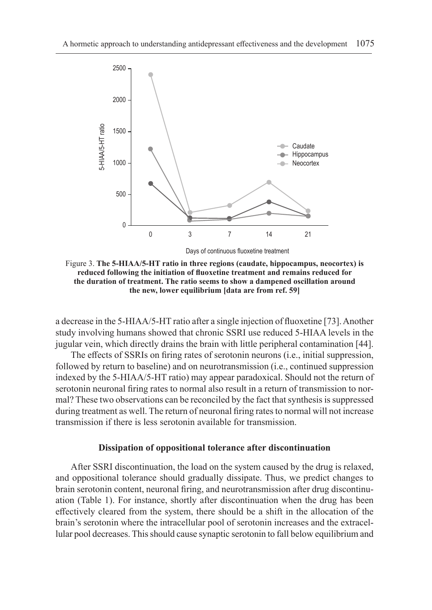

Days of continuous fluoxetine treatment

Figure 3. **The 5-HIAA/5-HT ratio in three regions (caudate, hippocampus, neocortex) is reduced following the initiation of fluoxetine treatment and remains reduced for the duration of treatment. The ratio seems to show a dampened oscillation around the new, lower equilibrium [data are from ref. 59]**

a decrease in the 5-HIAA/5-HT ratio after a single injection of fluoxetine [73]. Another study involving humans showed that chronic SSRI use reduced 5-HIAA levels in the jugular vein, which directly drains the brain with little peripheral contamination [44].

The effects of SSRIs on firing rates of serotonin neurons (i.e., initial suppression, followed by return to baseline) and on neurotransmission (i.e., continued suppression indexed by the 5-HIAA/5-HT ratio) may appear paradoxical. Should not the return of serotonin neuronal firing rates to normal also result in a return of transmission to normal? These two observations can be reconciled by the fact that synthesis is suppressed during treatment as well. The return of neuronal firing rates to normal will not increase transmission if there is less serotonin available for transmission.

### **Dissipation of oppositional tolerance after discontinuation**

After SSRI discontinuation, the load on the system caused by the drug is relaxed, and oppositional tolerance should gradually dissipate. Thus, we predict changes to brain serotonin content, neuronal firing, and neurotransmission after drug discontinuation (Table 1). For instance, shortly after discontinuation when the drug has been effectively cleared from the system, there should be a shift in the allocation of the brain's serotonin where the intracellular pool of serotonin increases and the extracellular pool decreases. This should cause synaptic serotonin to fall below equilibrium and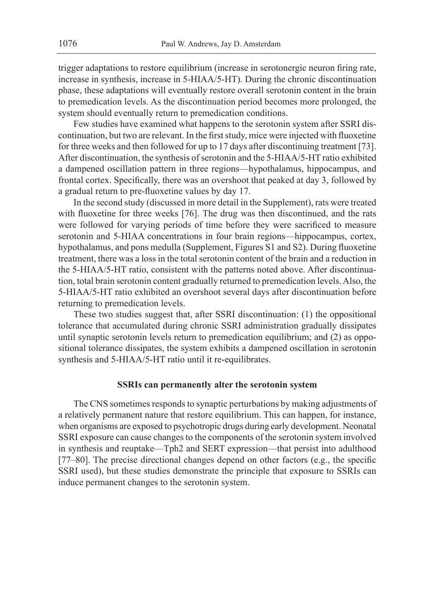trigger adaptations to restore equilibrium (increase in serotonergic neuron firing rate, increase in synthesis, increase in 5-HIAA/5-HT). During the chronic discontinuation phase, these adaptations will eventually restore overall serotonin content in the brain to premedication levels. As the discontinuation period becomes more prolonged, the system should eventually return to premedication conditions.

Few studies have examined what happens to the serotonin system after SSRI discontinuation, but two are relevant. In the first study, mice were injected with fluoxetine for three weeks and then followed for up to 17 days after discontinuing treatment [73]. After discontinuation, the synthesis of serotonin and the 5-HIAA/5-HT ratio exhibited a dampened oscillation pattern in three regions—hypothalamus, hippocampus, and frontal cortex. Specifically, there was an overshoot that peaked at day 3, followed by a gradual return to pre-fluoxetine values by day 17.

In the second study (discussed in more detail in the Supplement), rats were treated with fluoxetine for three weeks [76]. The drug was then discontinued, and the rats were followed for varying periods of time before they were sacrificed to measure serotonin and 5-HIAA concentrations in four brain regions—hippocampus, cortex, hypothalamus, and pons medulla (Supplement, Figures S1 and S2). During fluoxetine treatment, there was a loss in the total serotonin content of the brain and a reduction in the 5-HIAA/5-HT ratio, consistent with the patterns noted above. After discontinuation, total brain serotonin content gradually returned to premedication levels. Also, the 5-HIAA/5-HT ratio exhibited an overshoot several days after discontinuation before returning to premedication levels.

These two studies suggest that, after SSRI discontinuation: (1) the oppositional tolerance that accumulated during chronic SSRI administration gradually dissipates until synaptic serotonin levels return to premedication equilibrium; and (2) as oppositional tolerance dissipates, the system exhibits a dampened oscillation in serotonin synthesis and 5-HIAA/5-HT ratio until it re-equilibrates.

#### **SSRIs can permanently alter the serotonin system**

The CNS sometimes responds to synaptic perturbations by making adjustments of a relatively permanent nature that restore equilibrium. This can happen, for instance, when organisms are exposed to psychotropic drugs during early development. Neonatal SSRI exposure can cause changes to the components of the serotonin system involved in synthesis and reuptake—Tph2 and SERT expression—that persist into adulthood [77–80]. The precise directional changes depend on other factors (e.g., the specific SSRI used), but these studies demonstrate the principle that exposure to SSRIs can induce permanent changes to the serotonin system.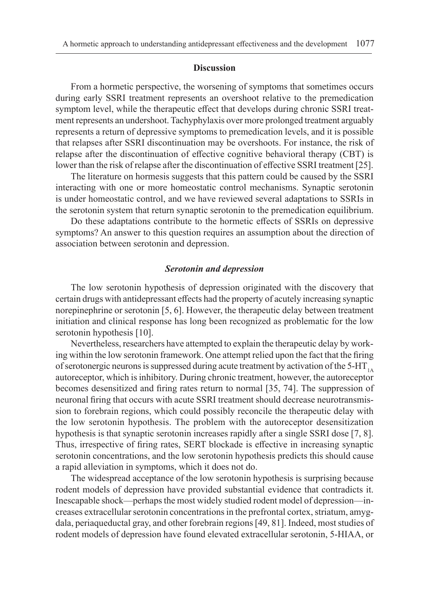#### **Discussion**

From a hormetic perspective, the worsening of symptoms that sometimes occurs during early SSRI treatment represents an overshoot relative to the premedication symptom level, while the therapeutic effect that develops during chronic SSRI treatment represents an undershoot. Tachyphylaxis over more prolonged treatment arguably represents a return of depressive symptoms to premedication levels, and it is possible that relapses after SSRI discontinuation may be overshoots. For instance, the risk of relapse after the discontinuation of effective cognitive behavioral therapy (CBT) is lower than the risk of relapse after the discontinuation of effective SSRI treatment [25].

The literature on hormesis suggests that this pattern could be caused by the SSRI interacting with one or more homeostatic control mechanisms. Synaptic serotonin is under homeostatic control, and we have reviewed several adaptations to SSRIs in the serotonin system that return synaptic serotonin to the premedication equilibrium.

Do these adaptations contribute to the hormetic effects of SSRIs on depressive symptoms? An answer to this question requires an assumption about the direction of association between serotonin and depression.

#### *Serotonin and depression*

The low serotonin hypothesis of depression originated with the discovery that certain drugs with antidepressant effects had the property of acutely increasing synaptic norepinephrine or serotonin [5, 6]. However, the therapeutic delay between treatment initiation and clinical response has long been recognized as problematic for the low serotonin hypothesis [10].

Nevertheless, researchers have attempted to explain the therapeutic delay by working within the low serotonin framework. One attempt relied upon the fact that the firing of serotonergic neurons is suppressed during acute treatment by activation of the  $5-HT<sub>1A</sub>$ autoreceptor, which is inhibitory. During chronic treatment, however, the autoreceptor becomes desensitized and firing rates return to normal [35, 74]. The suppression of neuronal firing that occurs with acute SSRI treatment should decrease neurotransmission to forebrain regions, which could possibly reconcile the therapeutic delay with the low serotonin hypothesis. The problem with the autoreceptor desensitization hypothesis is that synaptic serotonin increases rapidly after a single SSRI dose [7, 8]. Thus, irrespective of firing rates, SERT blockade is effective in increasing synaptic serotonin concentrations, and the low serotonin hypothesis predicts this should cause a rapid alleviation in symptoms, which it does not do.

The widespread acceptance of the low serotonin hypothesis is surprising because rodent models of depression have provided substantial evidence that contradicts it. Inescapable shock—perhaps the most widely studied rodent model of depression—increases extracellular serotonin concentrations in the prefrontal cortex, striatum, amygdala, periaqueductal gray, and other forebrain regions [49, 81]. Indeed, most studies of rodent models of depression have found elevated extracellular serotonin, 5-HIAA, or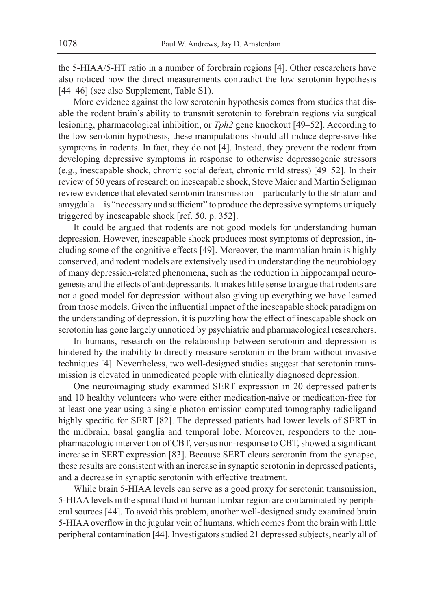the 5-HIAA/5-HT ratio in a number of forebrain regions [4]. Other researchers have also noticed how the direct measurements contradict the low serotonin hypothesis [44–46] (see also Supplement, Table S1).

More evidence against the low serotonin hypothesis comes from studies that disable the rodent brain's ability to transmit serotonin to forebrain regions via surgical lesioning, pharmacological inhibition, or *Tph2* gene knockout [49–52]. According to the low serotonin hypothesis, these manipulations should all induce depressive-like symptoms in rodents. In fact, they do not [4]. Instead, they prevent the rodent from developing depressive symptoms in response to otherwise depressogenic stressors (e.g., inescapable shock, chronic social defeat, chronic mild stress) [49–52]. In their review of 50 years of research on inescapable shock, Steve Maier and Martin Seligman review evidence that elevated serotonin transmission—particularly to the striatum and amygdala—is "necessary and sufficient" to produce the depressive symptoms uniquely triggered by inescapable shock [ref. 50, p. 352].

It could be argued that rodents are not good models for understanding human depression. However, inescapable shock produces most symptoms of depression, including some of the cognitive effects [49]. Moreover, the mammalian brain is highly conserved, and rodent models are extensively used in understanding the neurobiology of many depression-related phenomena, such as the reduction in hippocampal neurogenesis and the effects of antidepressants. It makes little sense to argue that rodents are not a good model for depression without also giving up everything we have learned from those models. Given the influential impact of the inescapable shock paradigm on the understanding of depression, it is puzzling how the effect of inescapable shock on serotonin has gone largely unnoticed by psychiatric and pharmacological researchers.

In humans, research on the relationship between serotonin and depression is hindered by the inability to directly measure serotonin in the brain without invasive techniques [4]. Nevertheless, two well-designed studies suggest that serotonin transmission is elevated in unmedicated people with clinically diagnosed depression.

One neuroimaging study examined SERT expression in 20 depressed patients and 10 healthy volunteers who were either medication-naïve or medication-free for at least one year using a single photon emission computed tomography radioligand highly specific for SERT [82]. The depressed patients had lower levels of SERT in the midbrain, basal ganglia and temporal lobe. Moreover, responders to the nonpharmacologic intervention of CBT, versus non-response to CBT, showed a significant increase in SERT expression [83]. Because SERT clears serotonin from the synapse, these results are consistent with an increase in synaptic serotonin in depressed patients, and a decrease in synaptic serotonin with effective treatment.

While brain 5-HIAA levels can serve as a good proxy for serotonin transmission, 5-HIAA levels in the spinal fluid of human lumbar region are contaminated by peripheral sources [44]. To avoid this problem, another well-designed study examined brain 5-HIAA overflow in the jugular vein of humans, which comes from the brain with little peripheral contamination [44]. Investigators studied 21 depressed subjects, nearly all of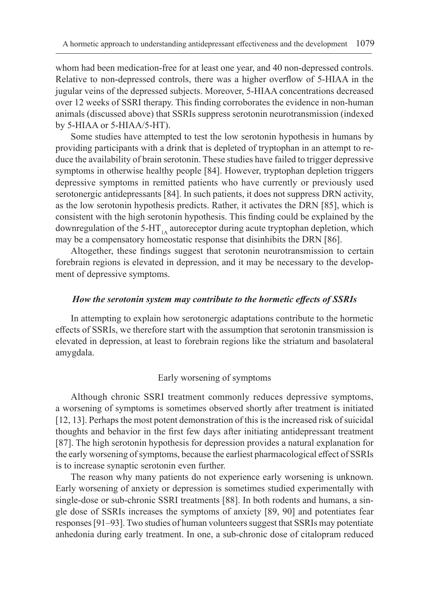whom had been medication-free for at least one year, and 40 non-depressed controls. Relative to non-depressed controls, there was a higher overflow of 5-HIAA in the jugular veins of the depressed subjects. Moreover, 5-HIAA concentrations decreased over 12 weeks of SSRI therapy. This finding corroborates the evidence in non-human animals (discussed above) that SSRIs suppress serotonin neurotransmission (indexed by 5-HIAA or 5-HIAA/5-HT).

Some studies have attempted to test the low serotonin hypothesis in humans by providing participants with a drink that is depleted of tryptophan in an attempt to reduce the availability of brain serotonin. These studies have failed to trigger depressive symptoms in otherwise healthy people [84]. However, tryptophan depletion triggers depressive symptoms in remitted patients who have currently or previously used serotonergic antidepressants [84]. In such patients, it does not suppress DRN activity, as the low serotonin hypothesis predicts. Rather, it activates the DRN [85], which is consistent with the high serotonin hypothesis. This finding could be explained by the downregulation of the 5-HT<sub>1A</sub> autoreceptor during acute tryptophan depletion, which may be a compensatory homeostatic response that disinhibits the DRN [86].

Altogether, these findings suggest that serotonin neurotransmission to certain forebrain regions is elevated in depression, and it may be necessary to the development of depressive symptoms.

### *How the serotonin system may contribute to the hormetic effects of SSRIs*

In attempting to explain how serotonergic adaptations contribute to the hormetic effects of SSRIs, we therefore start with the assumption that serotonin transmission is elevated in depression, at least to forebrain regions like the striatum and basolateral amygdala.

## Early worsening of symptoms

Although chronic SSRI treatment commonly reduces depressive symptoms, a worsening of symptoms is sometimes observed shortly after treatment is initiated [12, 13]. Perhaps the most potent demonstration of this is the increased risk of suicidal thoughts and behavior in the first few days after initiating antidepressant treatment [87]. The high serotonin hypothesis for depression provides a natural explanation for the early worsening of symptoms, because the earliest pharmacological effect of SSRIs is to increase synaptic serotonin even further.

The reason why many patients do not experience early worsening is unknown. Early worsening of anxiety or depression is sometimes studied experimentally with single-dose or sub-chronic SSRI treatments [88]. In both rodents and humans, a single dose of SSRIs increases the symptoms of anxiety [89, 90] and potentiates fear responses [91–93]. Two studies of human volunteers suggest that SSRIs may potentiate anhedonia during early treatment. In one, a sub-chronic dose of citalopram reduced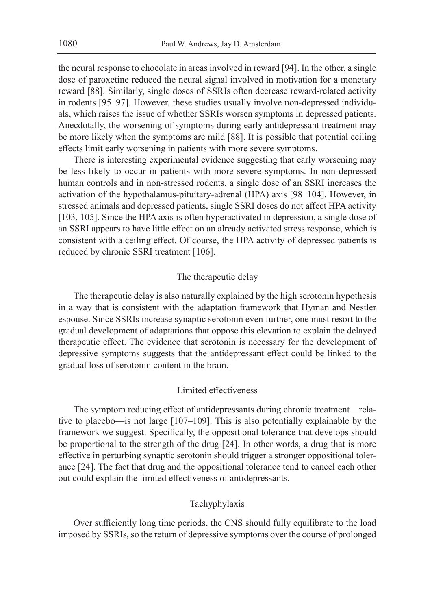the neural response to chocolate in areas involved in reward [94]. In the other, a single dose of paroxetine reduced the neural signal involved in motivation for a monetary reward [88]. Similarly, single doses of SSRIs often decrease reward-related activity in rodents [95–97]. However, these studies usually involve non-depressed individuals, which raises the issue of whether SSRIs worsen symptoms in depressed patients. Anecdotally, the worsening of symptoms during early antidepressant treatment may be more likely when the symptoms are mild [88]. It is possible that potential ceiling effects limit early worsening in patients with more severe symptoms.

There is interesting experimental evidence suggesting that early worsening may be less likely to occur in patients with more severe symptoms. In non-depressed human controls and in non-stressed rodents, a single dose of an SSRI increases the activation of the hypothalamus-pituitary-adrenal (HPA) axis [98–104]. However, in stressed animals and depressed patients, single SSRI doses do not affect HPA activity [103, 105]. Since the HPA axis is often hyperactivated in depression, a single dose of an SSRI appears to have little effect on an already activated stress response, which is consistent with a ceiling effect. Of course, the HPA activity of depressed patients is reduced by chronic SSRI treatment [106].

### The therapeutic delay

The therapeutic delay is also naturally explained by the high serotonin hypothesis in a way that is consistent with the adaptation framework that Hyman and Nestler espouse. Since SSRIs increase synaptic serotonin even further, one must resort to the gradual development of adaptations that oppose this elevation to explain the delayed therapeutic effect. The evidence that serotonin is necessary for the development of depressive symptoms suggests that the antidepressant effect could be linked to the gradual loss of serotonin content in the brain.

## Limited effectiveness

The symptom reducing effect of antidepressants during chronic treatment—relative to placebo—is not large [107–109]. This is also potentially explainable by the framework we suggest. Specifically, the oppositional tolerance that develops should be proportional to the strength of the drug [24]. In other words, a drug that is more effective in perturbing synaptic serotonin should trigger a stronger oppositional tolerance [24]. The fact that drug and the oppositional tolerance tend to cancel each other out could explain the limited effectiveness of antidepressants.

## Tachyphylaxis

Over sufficiently long time periods, the CNS should fully equilibrate to the load imposed by SSRIs, so the return of depressive symptoms over the course of prolonged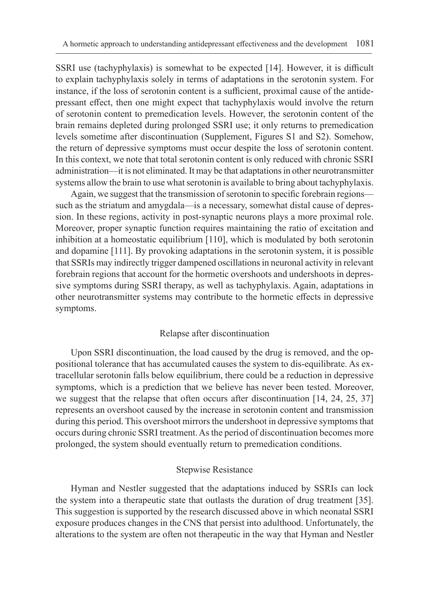SSRI use (tachyphylaxis) is somewhat to be expected [14]. However, it is difficult to explain tachyphylaxis solely in terms of adaptations in the serotonin system. For instance, if the loss of serotonin content is a sufficient, proximal cause of the antidepressant effect, then one might expect that tachyphylaxis would involve the return of serotonin content to premedication levels. However, the serotonin content of the brain remains depleted during prolonged SSRI use; it only returns to premedication levels sometime after discontinuation (Supplement, Figures S1 and S2). Somehow, the return of depressive symptoms must occur despite the loss of serotonin content. In this context, we note that total serotonin content is only reduced with chronic SSRI administration—it is not eliminated. It may be that adaptations in other neurotransmitter systems allow the brain to use what serotonin is available to bring about tachyphylaxis.

Again, we suggest that the transmission of serotonin to specific forebrain regions such as the striatum and amygdala—is a necessary, somewhat distal cause of depression. In these regions, activity in post-synaptic neurons plays a more proximal role. Moreover, proper synaptic function requires maintaining the ratio of excitation and inhibition at a homeostatic equilibrium [110], which is modulated by both serotonin and dopamine [111]. By provoking adaptations in the serotonin system, it is possible that SSRIs may indirectly trigger dampened oscillations in neuronal activity in relevant forebrain regions that account for the hormetic overshoots and undershoots in depressive symptoms during SSRI therapy, as well as tachyphylaxis. Again, adaptations in other neurotransmitter systems may contribute to the hormetic effects in depressive symptoms.

#### Relapse after discontinuation

Upon SSRI discontinuation, the load caused by the drug is removed, and the oppositional tolerance that has accumulated causes the system to dis-equilibrate. As extracellular serotonin falls below equilibrium, there could be a reduction in depressive symptoms, which is a prediction that we believe has never been tested. Moreover, we suggest that the relapse that often occurs after discontinuation [14, 24, 25, 37] represents an overshoot caused by the increase in serotonin content and transmission during this period. This overshoot mirrors the undershoot in depressive symptoms that occurs during chronic SSRI treatment. As the period of discontinuation becomes more prolonged, the system should eventually return to premedication conditions.

## Stepwise Resistance

Hyman and Nestler suggested that the adaptations induced by SSRIs can lock the system into a therapeutic state that outlasts the duration of drug treatment [35]. This suggestion is supported by the research discussed above in which neonatal SSRI exposure produces changes in the CNS that persist into adulthood. Unfortunately, the alterations to the system are often not therapeutic in the way that Hyman and Nestler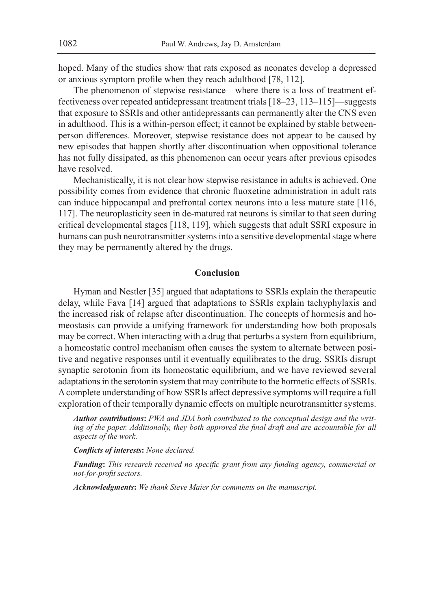hoped. Many of the studies show that rats exposed as neonates develop a depressed or anxious symptom profile when they reach adulthood [78, 112].

The phenomenon of stepwise resistance—where there is a loss of treatment effectiveness over repeated antidepressant treatment trials [18–23, 113–115]—suggests that exposure to SSRIs and other antidepressants can permanently alter the CNS even in adulthood. This is a within-person effect; it cannot be explained by stable betweenperson differences. Moreover, stepwise resistance does not appear to be caused by new episodes that happen shortly after discontinuation when oppositional tolerance has not fully dissipated, as this phenomenon can occur years after previous episodes have resolved.

Mechanistically, it is not clear how stepwise resistance in adults is achieved. One possibility comes from evidence that chronic fluoxetine administration in adult rats can induce hippocampal and prefrontal cortex neurons into a less mature state [116, 117]. The neuroplasticity seen in de-matured rat neurons is similar to that seen during critical developmental stages [118, 119], which suggests that adult SSRI exposure in humans can push neurotransmitter systems into a sensitive developmental stage where they may be permanently altered by the drugs.

#### **Conclusion**

Hyman and Nestler [35] argued that adaptations to SSRIs explain the therapeutic delay, while Fava [14] argued that adaptations to SSRIs explain tachyphylaxis and the increased risk of relapse after discontinuation. The concepts of hormesis and homeostasis can provide a unifying framework for understanding how both proposals may be correct. When interacting with a drug that perturbs a system from equilibrium, a homeostatic control mechanism often causes the system to alternate between positive and negative responses until it eventually equilibrates to the drug. SSRIs disrupt synaptic serotonin from its homeostatic equilibrium, and we have reviewed several adaptations in the serotonin system that may contribute to the hormetic effects of SSRIs. A complete understanding of how SSRIs affect depressive symptoms will require a full exploration of their temporally dynamic effects on multiple neurotransmitter systems.

*Author contributions***:** *PWA and JDA both contributed to the conceptual design and the writ*ing of the paper. Additionally, they both approved the final draft and are accountable for all *aspects of the work.*

*Conflicts of interests***:** *None declared.*

*Funding***:** *This research received no specific grant from any funding agency, commercial or not-for-profit sectors.*

*Acknowledgments***:** *We thank Steve Maier for comments on the manuscript.*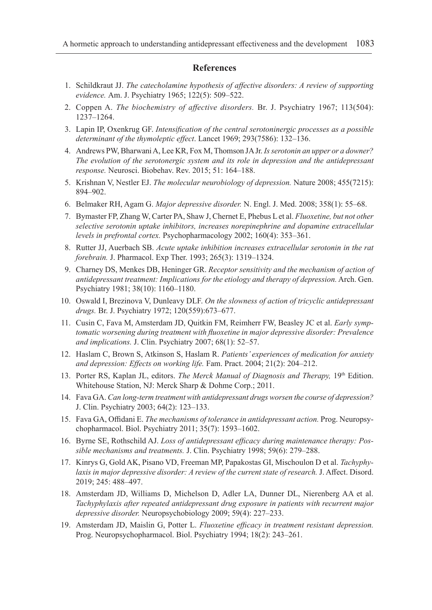#### **References**

- 1. Schildkraut JJ. *The catecholamine hypothesis of affective disorders: A review of supporting evidence.* Am. J. Psychiatry 1965; 122(5): 509–522.
- 2. Coppen A. *The biochemistry of affective disorders.* Br. J. Psychiatry 1967; 113(504): 1237–1264.
- 3. Lapin IP, Oxenkrug GF. *Intensification of the central serotoninergic processes as a possible determinant of the thymoleptic effect*. Lancet 1969; 293(7586): 132–136.
- 4. Andrews PW, Bharwani A, Lee KR, Fox M, Thomson JA Jr. *Is serotonin an upper or a downer? The evolution of the serotonergic system and its role in depression and the antidepressant response.* Neurosci. Biobehav. Rev. 2015; 51: 164–188.
- 5. Krishnan V, Nestler EJ. *The molecular neurobiology of depression.* Nature 2008; 455(7215): 894–902.
- 6. Belmaker RH, Agam G. *Major depressive disorder.* N. Engl. J. Med. 2008; 358(1): 55–68.
- 7. Bymaster FP, Zhang W, Carter PA, Shaw J, Chernet E, Phebus L et al. *Fluoxetine, but not other selective serotonin uptake inhibitors, increases norepinephrine and dopamine extracellular levels in prefrontal cortex.* Psychopharmacology 2002; 160(4): 353–361.
- 8. Rutter JJ, Auerbach SB. *Acute uptake inhibition increases extracellular serotonin in the rat forebrain.* J. Pharmacol. Exp Ther. 1993; 265(3): 1319–1324.
- 9. Charney DS, Menkes DB, Heninger GR. *Receptor sensitivity and the mechanism of action of antidepressant treatment: Implications for the etiology and therapy of depression.* Arch. Gen. Psychiatry 1981; 38(10): 1160–1180.
- 10. Oswald I, Brezinova V, Dunleavy DLF. *On the slowness of action of tricyclic antidepressant drugs.* Br. J. Psychiatry 1972; 120(559):673–677.
- 11. Cusin C, Fava M, Amsterdam JD, Quitkin FM, Reimherr FW, Beasley JC et al. *Early symptomatic worsening during treatment with fluoxetine in major depressive disorder: Prevalence and implications.* J. Clin. Psychiatry 2007; 68(1): 52–57.
- 12. Haslam C, Brown S, Atkinson S, Haslam R. *Patients' experiences of medication for anxiety and depression: Effects on working life.* Fam. Pract. 2004; 21(2): 204–212.
- 13. Porter RS, Kaplan JL, editors. *The Merck Manual of Diagnosis and Therapy*, 19<sup>th</sup> Edition. Whitehouse Station, NJ: Merck Sharp & Dohme Corp.; 2011.
- 14. Fava GA. *Can long-term treatment with antidepressant drugs worsen the course of depression?* J. Clin. Psychiatry 2003; 64(2): 123–133.
- 15. Fava GA, Offidani E. *The mechanisms of tolerance in antidepressant action.* Prog. Neuropsychopharmacol. Biol. Psychiatry 2011; 35(7): 1593–1602.
- 16. Byrne SE, Rothschild AJ. *Loss of antidepressant efficacy during maintenance therapy: Possible mechanisms and treatments.* J. Clin. Psychiatry 1998; 59(6): 279–288.
- 17. Kinrys G, Gold AK, Pisano VD, Freeman MP, Papakostas GI, Mischoulon D et al. *Tachyphylaxis in major depressive disorder: A review of the current state of research.* J. Affect. Disord. 2019; 245: 488–497.
- 18. Amsterdam JD, Williams D, Michelson D, Adler LA, Dunner DL, Nierenberg AA et al. *Tachyphylaxis after repeated antidepressant drug exposure in patients with recurrent major depressive disorder.* Neuropsychobiology 2009; 59(4): 227–233.
- 19. Amsterdam JD, Maislin G, Potter L. *Fluoxetine efficacy in treatment resistant depression.* Prog. Neuropsychopharmacol. Biol. Psychiatry 1994; 18(2): 243–261.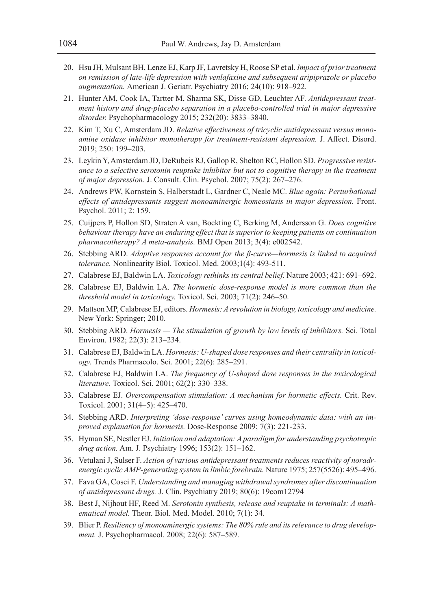- 20. Hsu JH, Mulsant BH, Lenze EJ, Karp JF, Lavretsky H, Roose SP et al. *Impact of prior treatment on remission of late-life depression with venlafaxine and subsequent aripiprazole or placebo augmentation.* American J. Geriatr. Psychiatry 2016; 24(10): 918–922.
- 21. Hunter AM, Cook IA, Tartter M, Sharma SK, Disse GD, Leuchter AF. *Antidepressant treatment history and drug-placebo separation in a placebo-controlled trial in major depressive disorder.* Psychopharmacology 2015; 232(20): 3833–3840.
- 22. Kim T, Xu C, Amsterdam JD. *Relative effectiveness of tricyclic antidepressant versus monoamine oxidase inhibitor monotherapy for treatment-resistant depression.* J. Affect. Disord. 2019; 250: 199–203.
- 23. Leykin Y, Amsterdam JD, DeRubeis RJ, Gallop R, Shelton RC, Hollon SD. *Progressive resistance to a selective serotonin reuptake inhibitor but not to cognitive therapy in the treatment of major depression.* J. Consult. Clin. Psychol. 2007; 75(2): 267–276.
- 24. Andrews PW, Kornstein S, Halberstadt L, Gardner C, Neale MC. *Blue again: Perturbational effects of antidepressants suggest monoaminergic homeostasis in major depression.* Front. Psychol. 2011; 2: 159.
- 25. Cuijpers P, Hollon SD, Straten A van, Bockting C, Berking M, Andersson G. *Does cognitive behaviour therapy have an enduring effect that is superior to keeping patients on continuation pharmacotherapy? A meta-analysis.* BMJ Open 2013; 3(4): e002542.
- 26. Stebbing ARD. *Adaptive responses account for the β-curve—hormesis is linked to acquired tolerance.* Nonlinearity Biol. Toxicol. Med. 2003;1(4): 493-511.
- 27. Calabrese EJ, Baldwin LA. *Toxicology rethinks its central belief.* Nature 2003; 421: 691–692.
- 28. Calabrese EJ, Baldwin LA. *The hormetic dose-response model is more common than the threshold model in toxicology.* Toxicol. Sci. 2003; 71(2): 246–50.
- 29. Mattson MP, Calabrese EJ, editors. *Hormesis: A revolution in biology, toxicology and medicine.*  New York: Springer; 2010.
- 30. Stebbing ARD. *Hormesis The stimulation of growth by low levels of inhibitors.* Sci. Total Environ. 1982; 22(3): 213–234.
- 31. Calabrese EJ, Baldwin LA. *Hormesis: U-shaped dose responses and their centrality in toxicology.* Trends Pharmacolo. Sci. 2001; 22(6): 285–291.
- 32. Calabrese EJ, Baldwin LA. *The frequency of U-shaped dose responses in the toxicological literature.* Toxicol. Sci. 2001; 62(2): 330–338.
- 33. Calabrese EJ. *Overcompensation stimulation: A mechanism for hormetic effects.* Crit. Rev. Toxicol. 2001; 31(4–5): 425–470.
- 34. Stebbing ARD. *Interpreting 'dose-response' curves using homeodynamic data: with an improved explanation for hormesis.* Dose-Response 2009; 7(3): 221-233.
- 35. Hyman SE, Nestler EJ. *Initiation and adaptation: A paradigm for understanding psychotropic drug action.* Am. J. Psychiatry 1996; 153(2): 151–162.
- 36. Vetulani J, Sulser F. *Action of various antidepressant treatments reduces reactivity of noradrenergic cyclic AMP-generating system in limbic forebrain.* Nature 1975; 257(5526): 495–496.
- 37. Fava GA, Cosci F. *Understanding and managing withdrawal syndromes after discontinuation of antidepressant drugs.* J. Clin. Psychiatry 2019; 80(6): 19com12794
- 38. Best J, Nijhout HF, Reed M. *Serotonin synthesis, release and reuptake in terminals: A mathematical model.* Theor. Biol. Med. Model. 2010; 7(1): 34.
- 39. Blier P. *Resiliency of monoaminergic systems: The 80% rule and its relevance to drug development.* J. Psychopharmacol. 2008; 22(6): 587–589.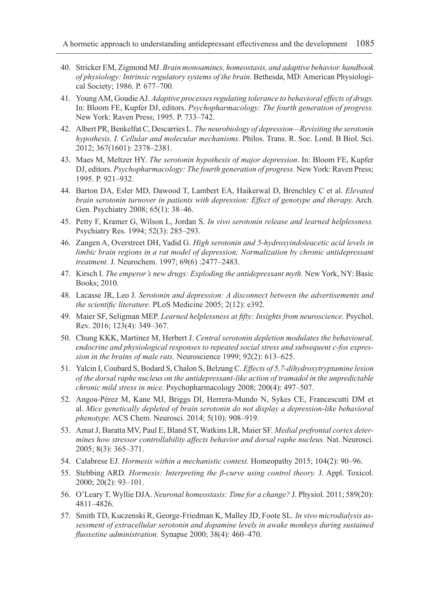- 40. Stricker EM, Zigmond MJ. *Brain monoamines, homeostasis, and adaptive behavior. handbook of physiology: Intrinsic regulatory systems of the brain.* Bethesda, MD: American Physiological Society; 1986. P. 677–700.
- 41. Young AM, Goudie AJ. *Adaptive processes regulating tolerance to behavioral effects of drugs.* In: Bloom FE, Kupfer DJ, editors. *Psychopharmacology: The fourth generation of progress.* New York: Raven Press; 1995. P. 733–742.
- 42. Albert PR, Benkelfat C, Descarries L. *The neurobiology of depression—Revisiting the serotonin hypothesis. I. Cellular and molecular mechanisms.* Philos. Trans. R. Soc. Lond. B Biol. Sci. 2012; 367(1601): 2378–2381.
- 43. Maes M, Meltzer HY. *The serotonin hypothesis of major depression*. In: Bloom FE, Kupfer DJ, editors. *Psychopharmacology: The fourth generation of progress.* New York: Raven Press; 1995. P. 921–932.
- 44. Barton DA, Esler MD, Dawood T, Lambert EA, Haikerwal D, Brenchley C et al. *Elevated brain serotonin turnover in patients with depression: Effect of genotype and therapy.* Arch. Gen. Psychiatry 2008; 65(1): 38–46.
- 45. Petty F, Kramer G, Wilson L, Jordan S. *In vivo serotonin release and learned helplessness.* Psychiatry Res. 1994; 52(3): 285–293.
- 46. Zangen A, Overstreet DH, Yadid G. *High serotonin and 5-hydroxyindoleacetic acid levels in limbic brain regions in a rat model of depression; Normalization by chronic antidepressant treatment.* J. Neurochem. 1997; 69(6) :2477–2483.
- 47. Kirsch I. *The emperor's new drugs: Exploding the antidepressant myth.* New York, NY: Basic Books; 2010.
- 48. Lacasse JR, Leo J. *Serotonin and depression: A disconnect between the advertisements and the scientific literature.* PLoS Medicine 2005; 2(12): e392.
- 49. Maier SF, Seligman MEP. *Learned helplessness at fifty: Insights from neuroscience.* Psychol. Rev. 2016; 123(4): 349–367.
- 50. Chung KKK, Martinez M, Herbert J. *Central serotonin depletion modulates the behavioural, endocrine and physiological responses to repeated social stress and subsequent c-fos expression in the brains of male rats.* Neuroscience 1999; 92(2): 613–625.
- 51. Yalcin I, Coubard S, Bodard S, Chalon S, Belzung C. *Effects of 5,7-dihydroxytryptamine lesion of the dorsal raphe nucleus on the antidepressant-like action of tramadol in the unpredictable chronic mild stress in mice.* Psychopharmacology 2008; 200(4): 497–507.
- 52. Angoa-Pérez M, Kane MJ, Briggs DI, Herrera-Mundo N, Sykes CE, Francescutti DM et al. *Mice genetically depleted of brain serotonin do not display a depression-like behavioral phenotype.* ACS Chem. Neurosci. 2014; 5(10): 908–919.
- 53. Amat J, Baratta MV, Paul E, Bland ST, Watkins LR, Maier SF. *Medial prefrontal cortex determines how stressor controllability affects behavior and dorsal raphe nucleus.* Nat. Neurosci. 2005; 8(3): 365–371.
- 54. Calabrese EJ. *Hormesis within a mechanistic context.* Homeopathy 2015; 104(2): 90–96.
- 55. Stebbing ARD*. Hormesis: Interpreting the β-curve using control theory.* J. Appl. Toxicol. 2000; 20(2): 93–101.
- 56. O'Leary T, Wyllie DJA. *Neuronal homeostasis: Time for a change?* J. Physiol. 2011; 589(20): 4811–4826.
- 57. Smith TD, Kuczenski R, George‐Friedman K, Malley JD, Foote SL*. In vivo microdialysis assessment of extracellular serotonin and dopamine levels in awake monkeys during sustained fluoxetine administration.* Synapse 2000; 38(4): 460–470.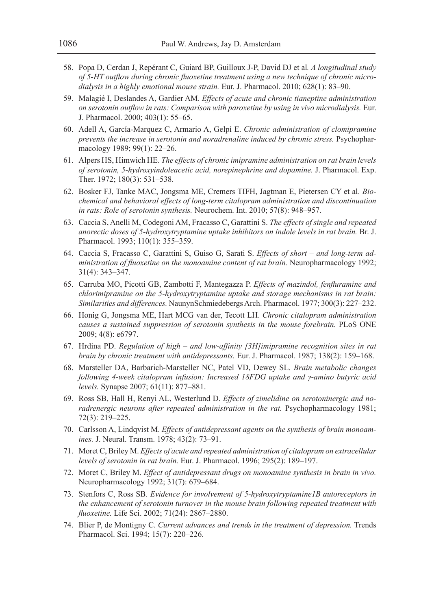- 58. Popa D, Cerdan J, Repérant C, Guiard BP, Guilloux J-P, David DJ et al*. A longitudinal study of 5-HT outflow during chronic fluoxetine treatment using a new technique of chronic microdialysis in a highly emotional mouse strain.* Eur. J. Pharmacol. 2010; 628(1): 83–90.
- 59. Malagié I, Deslandes A, Gardier AM. *Effects of acute and chronic tianeptine administration on serotonin outflow in rats: Comparison with paroxetine by using in vivo microdialysis.* Eur. J. Pharmacol. 2000; 403(1): 55–65.
- 60. Adell A, García-Marquez C, Armario A, Gelpí E. *Chronic administration of clomipramine prevents the increase in serotonin and noradrenaline induced by chronic stress.* Psychopharmacology 1989; 99(1): 22–26.
- 61. Alpers HS, Himwich HE. *The effects of chronic imipramine administration on rat brain levels of serotonin, 5-hydroxyindoleacetic acid, norepinephrine and dopamine.* J. Pharmacol. Exp. Ther. 1972; 180(3): 531–538.
- 62. Bosker FJ, Tanke MAC, Jongsma ME, Cremers TIFH, Jagtman E, Pietersen CY et al. *Biochemical and behavioral effects of long-term citalopram administration and discontinuation in rats: Role of serotonin synthesis.* Neurochem. Int. 2010; 57(8): 948–957.
- 63. Caccia S, Anelli M, Codegoni AM, Fracasso C, Garattini S. *The effects of single and repeated anorectic doses of 5-hydroxytryptamine uptake inhibitors on indole levels in rat brain.* Br. J. Pharmacol. 1993; 110(1): 355–359.
- 64. Caccia S, Fracasso C, Garattini S, Guiso G, Sarati S. *Effects of short and long-term administration of fluoxetine on the monoamine content of rat brain.* Neuropharmacology 1992; 31(4): 343–347.
- 65. Carruba MO, Picotti GB, Zambotti F, Mantegazza P. *Effects of mazindol, fenfluramine and chlorimipramine on the 5-hydroxytryptamine uptake and storage mechanisms in rat brain: Similarities and differences.* NaunynSchmiedebergs Arch. Pharmacol. 1977; 300(3): 227–232.
- 66. Honig G, Jongsma ME, Hart MCG van der, Tecott LH. *Chronic citalopram administration causes a sustained suppression of serotonin synthesis in the mouse forebrain.* PLoS ONE 2009; 4(8): e6797.
- 67. Hrdina PD. *Regulation of high and low-affinity [3H]imipramine recognition sites in rat brain by chronic treatment with antidepressants.* Eur. J. Pharmacol. 1987; 138(2): 159–168.
- 68. Marsteller DA, Barbarich‐Marsteller NC, Patel VD, Dewey SL. *Brain metabolic changes following 4-week citalopram infusion: Increased 18FDG uptake and γ-amino butyric acid levels.* Synapse 2007; 61(11): 877–881.
- 69. Ross SB, Hall H, Renyi AL, Westerlund D. *Effects of zimelidine on serotoninergic and noradrenergic neurons after repeated administration in the rat.* Psychopharmacology 1981; 72(3): 219–225.
- 70. Carlsson A, Lindqvist M. *Effects of antidepressant agents on the synthesis of brain monoamines.* J. Neural. Transm. 1978; 43(2): 73–91.
- 71. Moret C, Briley M. *Effects of acute and repeated administration of citalopram on extracellular levels of serotonin in rat brain.* Eur. J. Pharmacol. 1996; 295(2): 189–197.
- 72. Moret C, Briley M. *Effect of antidepressant drugs on monoamine synthesis in brain in vivo.* Neuropharmacology 1992; 31(7): 679–684.
- 73. Stenfors C, Ross SB. *Evidence for involvement of 5-hydroxytryptamine1B autoreceptors in the enhancement of serotonin turnover in the mouse brain following repeated treatment with fluoxetine.* Life Sci. 2002; 71(24): 2867–2880.
- 74. Blier P, de Montigny C. *Current advances and trends in the treatment of depression.* Trends Pharmacol. Sci. 1994; 15(7): 220–226.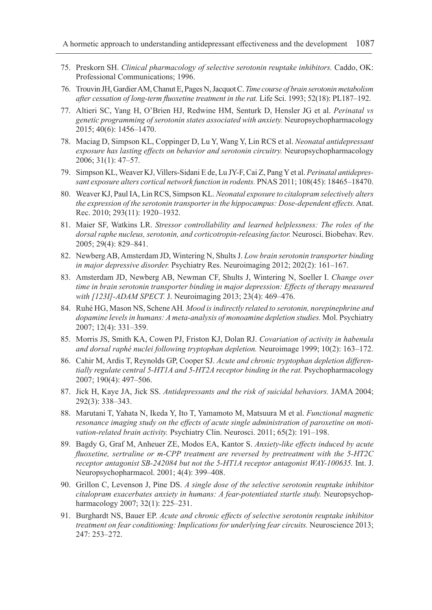- 75. Preskorn SH. *Clinical pharmacology of selective serotonin reuptake inhibitors.* Caddo, OK: Professional Communications; 1996.
- 76. Trouvin JH, Gardier AM, Chanut E, Pages N, Jacquot C. *Time course of brain serotonin metabolism after cessation of long-term fluoxetine treatment in the rat.* Life Sci. 1993; 52(18): PL187–192.
- 77. Altieri SC, Yang H, O'Brien HJ, Redwine HM, Senturk D, Hensler JG et al. *Perinatal vs genetic programming of serotonin states associated with anxiety.* Neuropsychopharmacology 2015; 40(6): 1456–1470.
- 78. Maciag D, Simpson KL, Coppinger D, Lu Y, Wang Y, Lin RCS et al. *Neonatal antidepressant exposure has lasting effects on behavior and serotonin circuitry.* Neuropsychopharmacology 2006; 31(1): 47–57.
- 79. Simpson KL, Weaver KJ, Villers-Sidani E de, Lu JY-F, Cai Z, Pang Y et al. *Perinatal antidepressant exposure alters cortical network function in rodents.* PNAS 2011; 108(45): 18465–18470.
- 80. Weaver KJ, Paul IA, Lin RCS, Simpson KL. *Neonatal exposure to citalopram selectively alters the expression of the serotonin transporter in the hippocampus: Dose-dependent effects.* Anat. Rec. 2010; 293(11): 1920–1932.
- 81. Maier SF, Watkins LR. *Stressor controllability and learned helplessness: The roles of the dorsal raphe nucleus, serotonin, and corticotropin-releasing factor.* Neurosci. Biobehav. Rev. 2005; 29(4): 829–841.
- 82. Newberg AB, Amsterdam JD, Wintering N, Shults J. *Low brain serotonin transporter binding in major depressive disorder.* Psychiatry Res. Neuroimaging 2012; 202(2): 161–167.
- 83. Amsterdam JD, Newberg AB, Newman CF, Shults J, Wintering N, Soeller I. *Change over time in brain serotonin transporter binding in major depression: Effects of therapy measured with [123I]-ADAM SPECT.* J. Neuroimaging 2013; 23(4): 469–476.
- 84. Ruhé HG, Mason NS, Schene AH*. Mood is indirectly related to serotonin, norepinephrine and dopamine levels in humans: A meta-analysis of monoamine depletion studies.* Mol. Psychiatry 2007; 12(4): 331–359.
- 85. Morris JS, Smith KA, Cowen PJ, Friston KJ, Dolan RJ. *Covariation of activity in habenula and dorsal raphé nuclei following tryptophan depletion.* Neuroimage 1999; 10(2): 163–172.
- 86. Cahir M, Ardis T, Reynolds GP, Cooper SJ. *Acute and chronic tryptophan depletion differentially regulate central 5-HT1A and 5-HT2A receptor binding in the rat. Psychopharmacology* 2007; 190(4): 497–506.
- 87. Jick H, Kaye JA, Jick SS. *Antidepressants and the risk of suicidal behaviors.* JAMA 2004; 292(3): 338–343.
- 88. Marutani T, Yahata N, Ikeda Y, Ito T, Yamamoto M, Matsuura M et al. *Functional magnetic resonance imaging study on the effects of acute single administration of paroxetine on motivation-related brain activity.* Psychiatry Clin. Neurosci. 2011; 65(2): 191–198.
- 89. Bagdy G, Graf M, Anheuer ZE, Modos EA, Kantor S. *Anxiety-like effects induced by acute fluoxetine, sertraline or m-CPP treatment are reversed by pretreatment with the 5-HT2C receptor antagonist SB-242084 but not the 5-HT1A receptor antagonist WAY-100635.* Int. J. Neuropsychopharmacol. 2001; 4(4): 399–408.
- 90. Grillon C, Levenson J, Pine DS. *A single dose of the selective serotonin reuptake inhibitor citalopram exacerbates anxiety in humans: A fear-potentiated startle study.* Neuropsychopharmacology 2007; 32(1): 225–231.
- 91. Burghardt NS, Bauer EP. *Acute and chronic effects of selective serotonin reuptake inhibitor treatment on fear conditioning: Implications for underlying fear circuits.* Neuroscience 2013; 247: 253–272.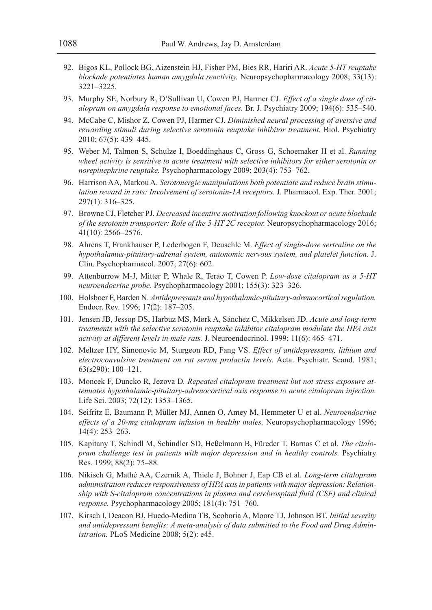- 92. Bigos KL, Pollock BG, Aizenstein HJ, Fisher PM, Bies RR, Hariri AR. *Acute 5-HT reuptake blockade potentiates human amygdala reactivity.* Neuropsychopharmacology 2008; 33(13): 3221–3225.
- 93. Murphy SE, Norbury R, O'Sullivan U, Cowen PJ, Harmer CJ. *Effect of a single dose of citalopram on amygdala response to emotional faces.* Br. J. Psychiatry 2009; 194(6): 535–540.
- 94. McCabe C, Mishor Z, Cowen PJ, Harmer CJ. *Diminished neural processing of aversive and rewarding stimuli during selective serotonin reuptake inhibitor treatment.* Biol. Psychiatry 2010; 67(5): 439–445.
- 95. Weber M, Talmon S, Schulze I, Boeddinghaus C, Gross G, Schoemaker H et al. *Running wheel activity is sensitive to acute treatment with selective inhibitors for either serotonin or norepinephrine reuptake.* Psychopharmacology 2009; 203(4): 753–762.
- 96. Harrison AA, Markou A. *Serotonergic manipulations both potentiate and reduce brain stimulation reward in rats: Involvement of serotonin-1A receptors.* J. Pharmacol. Exp. Ther. 2001; 297(1): 316–325.
- 97. Browne CJ, Fletcher PJ. *Decreased incentive motivation following knockout or acute blockade of the serotonin transporter: Role of the 5-HT 2C receptor.* Neuropsychopharmacology 2016; 41(10): 2566–2576.
- 98. Ahrens T, Frankhauser P, Lederbogen F, Deuschle M. *Effect of single-dose sertraline on the hypothalamus-pituitary-adrenal system, autonomic nervous system, and platelet function.* J. Clin. Psychopharmacol. 2007; 27(6): 602.
- 99. Attenburrow M-J, Mitter P, Whale R, Terao T, Cowen P. *Low-dose citalopram as a 5-HT neuroendocrine probe.* Psychopharmacology 2001; 155(3): 323–326.
- 100. Holsboer F, Barden N. *Antidepressants and hypothalamic-pituitary-adrenocortical regulation.* Endocr. Rev. 1996; 17(2): 187–205.
- 101. Jensen JB, Jessop DS, Harbuz MS, Mørk A, Sánchez C, Mikkelsen JD. *Acute and long-term treatments with the selective serotonin reuptake inhibitor citalopram modulate the HPA axis activity at different levels in male rats.* J. Neuroendocrinol. 1999; 11(6): 465–471.
- 102. Meltzer HY, Simonovic M, Sturgeon RD, Fang VS. *Effect of antidepressants, lithium and electroconvulsive treatment on rat serum prolactin levels.* Acta. Psychiatr. Scand. 1981; 63(s290): 100–121.
- 103. Moncek F, Duncko R, Jezova D*. Repeated citalopram treatment but not stress exposure attenuates hypothalamic-pituitary-adrenocortical axis response to acute citalopram injection.* Life Sci. 2003; 72(12): 1353–1365.
- 104. Seifritz E, Baumann P, Müller MJ, Annen O, Amey M, Hemmeter U et al. *Neuroendocrine effects of a 20-mg citalopram infusion in healthy males.* Neuropsychopharmacology 1996; 14(4): 253–263.
- 105. Kapitany T, Schindl M, Schindler SD, Heßelmann B, Füreder T, Barnas C et al. *The citalopram challenge test in patients with major depression and in healthy controls.* Psychiatry Res. 1999; 88(2): 75–88.
- 106. Nikisch G, Mathé AA, Czernik A, Thiele J, Bohner J, Eap CB et al. *Long-term citalopram administration reduces responsiveness of HPA axis in patients with major depression: Relationship with S-citalopram concentrations in plasma and cerebrospinal fluid (CSF) and clinical response.* Psychopharmacology 2005; 181(4): 751–760.
- 107. Kirsch I, Deacon BJ, Huedo-Medina TB, Scoboria A, Moore TJ, Johnson BT. *Initial severity and antidepressant benefits: A meta-analysis of data submitted to the Food and Drug Administration.* PLoS Medicine 2008; 5(2): e45.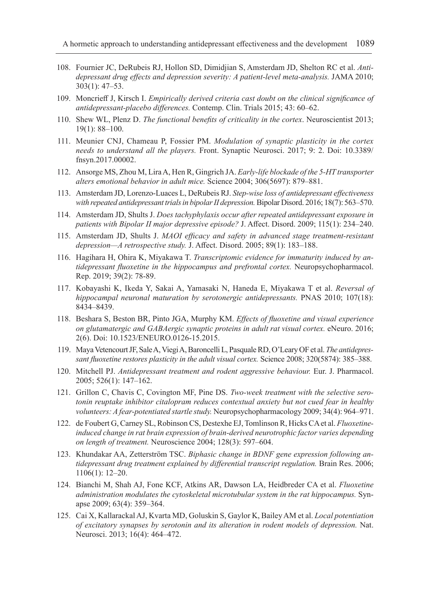- 108. Fournier JC, DeRubeis RJ, Hollon SD, Dimidjian S, Amsterdam JD, Shelton RC et al. *Antidepressant drug effects and depression severity: A patient-level meta-analysis.* JAMA 2010; 303(1): 47–53.
- 109. Moncrieff J, Kirsch I. *Empirically derived criteria cast doubt on the clinical significance of antidepressant-placebo differences.* Contemp. Clin. Trials 2015; 43: 60–62.
- 110. Shew WL, Plenz D. *The functional benefits of criticality in the cortex*. Neuroscientist 2013; 19(1): 88–100.
- 111. Meunier CNJ, Chameau P, Fossier PM. *Modulation of synaptic plasticity in the cortex needs to understand all the players.* Front. Synaptic Neurosci. 2017; 9: 2. Doi: 10.3389/ fnsyn.2017.00002.
- 112. Ansorge MS, Zhou M, Lira A, Hen R, Gingrich JA. *Early-life blockade of the 5-HT transporter alters emotional behavior in adult mice.* Science 2004; 306(5697): 879–881.
- 113. Amsterdam JD, Lorenzo‐Luaces L, DeRubeis RJ. *Step-wise loss of antidepressant effectiveness with repeated antidepressant trials in bipolar II depression.* Bipolar Disord. 2016; 18(7): 563–570.
- 114. Amsterdam JD, Shults J. *Does tachyphylaxis occur after repeated antidepressant exposure in patients with Bipolar II major depressive episode?* J. Affect. Disord. 2009; 115(1): 234–240.
- 115. Amsterdam JD, Shults J. *MAOI efficacy and safety in advanced stage treatment-resistant depression—A retrospective study.* J. Affect. Disord. 2005; 89(1): 183–188.
- 116. Hagihara H, Ohira K, Miyakawa T. *Transcriptomic evidence for immaturity induced by antidepressant fluoxetine in the hippocampus and prefrontal cortex.* Neuropsychopharmacol. Rep. 2019; 39(2): 78-89.
- 117. Kobayashi K, Ikeda Y, Sakai A, Yamasaki N, Haneda E, Miyakawa T et al. *Reversal of hippocampal neuronal maturation by serotonergic antidepressants.* PNAS 2010; 107(18): 8434–8439.
- 118. Beshara S, Beston BR, Pinto JGA, Murphy KM. *Effects of fluoxetine and visual experience on glutamatergic and GABAergic synaptic proteins in adult rat visual cortex.* eNeuro. 2016; 2(6). Doi: 10.1523/ENEURO.0126-15.2015.
- 119. Maya Vetencourt JF, Sale A, Viegi A, Baroncelli L, Pasquale RD, O'Leary OF et al. *The antidepressant fluoxetine restores plasticity in the adult visual cortex.* Science 2008; 320(5874): 385–388.
- 120. Mitchell PJ. *Antidepressant treatment and rodent aggressive behaviour.* Eur. J. Pharmacol. 2005; 526(1): 147–162.
- 121. Grillon C, Chavis C, Covington MF, Pine DS. *Two-week treatment with the selective serotonin reuptake inhibitor citalopram reduces contextual anxiety but not cued fear in healthy volunteers: A fear-potentiated startle study.* Neuropsychopharmacology 2009; 34(4): 964–971.
- 122. de Foubert G, Carney SL, Robinson CS, Destexhe EJ, Tomlinson R, Hicks CA et al. *Fluoxetineinduced change in rat brain expression of brain-derived neurotrophic factor varies depending on length of treatment.* Neuroscience 2004; 128(3): 597–604.
- 123. Khundakar AA, Zetterström TSC. *Biphasic change in BDNF gene expression following antidepressant drug treatment explained by differential transcript regulation.* Brain Res. 2006; 1106(1): 12–20.
- 124. Bianchi M, Shah AJ, Fone KCF, Atkins AR, Dawson LA, Heidbreder CA et al. *Fluoxetine administration modulates the cytoskeletal microtubular system in the rat hippocampus.* Synapse 2009; 63(4): 359–364.
- 125. Cai X, Kallarackal AJ, Kvarta MD, Goluskin S, Gaylor K, Bailey AM et al. *Local potentiation of excitatory synapses by serotonin and its alteration in rodent models of depression.* Nat. Neurosci. 2013; 16(4): 464–472.